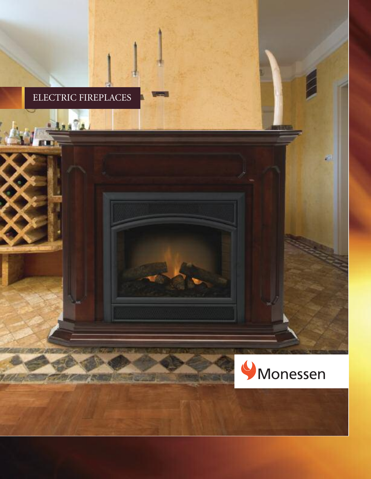## ELECTRIC FIREPLACES

**Les Pa** 

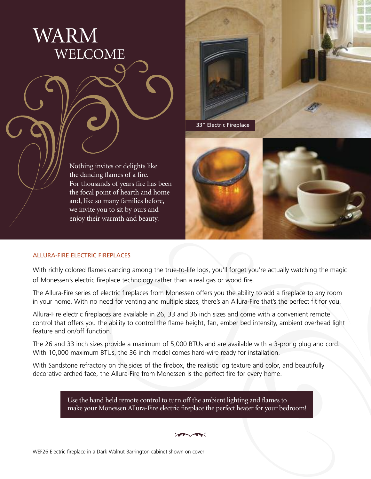



Nothing invites or delights like the dancing flames of a fire. For thousands of years fire has been the focal point of hearth and home and, like so many families before, we invite you to sit by ours and enjoy their warmth and beauty.



## ALLURA-FIRE ELECTRIC FIREPLACES

With richly colored flames dancing among the true-to-life logs, you'll forget you're actually watching the magic of Monessen's electric fireplace technology rather than a real gas or wood fire.

The Allura-Fire series of electric fireplaces from Monessen offers you the ability to add a fireplace to any room in your home. With no need for venting and multiple sizes, there's an Allura-Fire that's the perfect fit for you.

Allura-Fire electric fireplaces are available in 26, 33 and 36 inch sizes and come with a convenient remote control that offers you the ability to control the flame height, fan, ember bed intensity, ambient overhead light feature and on/off function.

The 26 and 33 inch sizes provide a maximum of 5,000 BTUs and are available with a 3-prong plug and cord. With 10,000 maximum BTUs, the 36 inch model comes hard-wire ready for installation.

With Sandstone refractory on the sides of the firebox, the realistic log texture and color, and beautifully decorative arched face, the Allura-Fire from Monessen is the perfect fire for every home.

> Use the hand held remote control to turn off the ambient lighting and flames to make your Monessen Allura-Fire electric fireplace the perfect heater for your bedroom!

 $\sqrt{2}$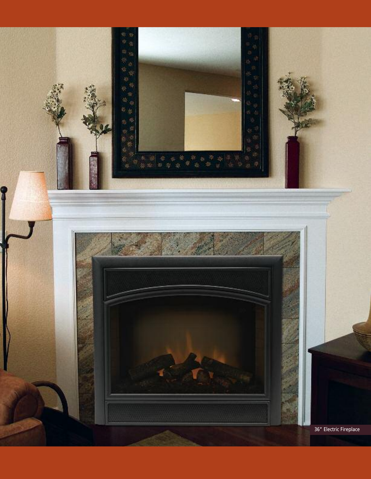